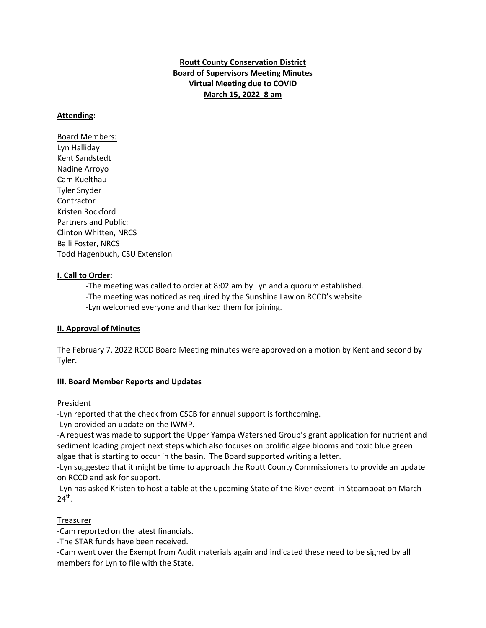# **Routt County Conservation District Board of Supervisors Meeting Minutes Virtual Meeting due to COVID March 15, 2022 8 am**

### **Attending:**

Board Members: Lyn Halliday Kent Sandstedt Nadine Arroyo Cam Kuelthau Tyler Snyder Contractor Kristen Rockford Partners and Public: Clinton Whitten, NRCS Baili Foster, NRCS Todd Hagenbuch, CSU Extension

### **I. Call to Order:**

**-**The meeting was called to order at 8:02 am by Lyn and a quorum established.

- -The meeting was noticed as required by the Sunshine Law on RCCD's website
- -Lyn welcomed everyone and thanked them for joining.

### **II. Approval of Minutes**

The February 7, 2022 RCCD Board Meeting minutes were approved on a motion by Kent and second by Tyler.

### **III. Board Member Reports and Updates**

President

-Lyn reported that the check from CSCB for annual support is forthcoming.

-Lyn provided an update on the IWMP.

-A request was made to support the Upper Yampa Watershed Group's grant application for nutrient and sediment loading project next steps which also focuses on prolific algae blooms and toxic blue green algae that is starting to occur in the basin. The Board supported writing a letter.

-Lyn suggested that it might be time to approach the Routt County Commissioners to provide an update on RCCD and ask for support.

-Lyn has asked Kristen to host a table at the upcoming State of the River event in Steamboat on March  $24^{th}$ .

# Treasurer

-Cam reported on the latest financials.

-The STAR funds have been received.

-Cam went over the Exempt from Audit materials again and indicated these need to be signed by all members for Lyn to file with the State.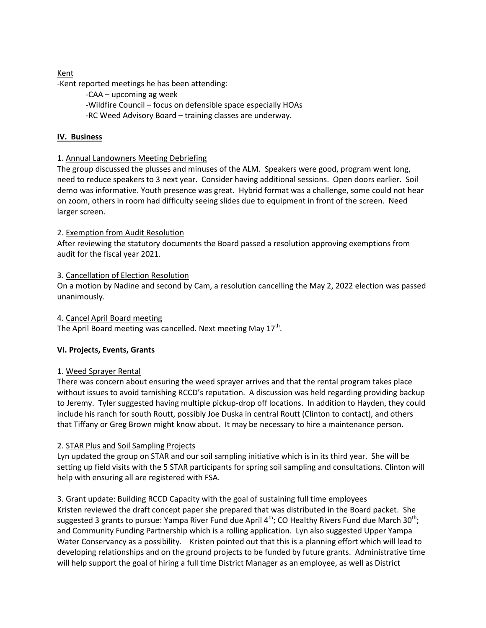## Kent

-Kent reported meetings he has been attending:

-CAA – upcoming ag week -Wildfire Council – focus on defensible space especially HOAs -RC Weed Advisory Board – training classes are underway.

## **IV. Business**

### 1. Annual Landowners Meeting Debriefing

The group discussed the plusses and minuses of the ALM. Speakers were good, program went long, need to reduce speakers to 3 next year. Consider having additional sessions. Open doors earlier. Soil demo was informative. Youth presence was great. Hybrid format was a challenge, some could not hear on zoom, others in room had difficulty seeing slides due to equipment in front of the screen. Need larger screen.

### 2. Exemption from Audit Resolution

After reviewing the statutory documents the Board passed a resolution approving exemptions from audit for the fiscal year 2021.

### 3. Cancellation of Election Resolution

On a motion by Nadine and second by Cam, a resolution cancelling the May 2, 2022 election was passed unanimously.

4. Cancel April Board meeting

The April Board meeting was cancelled. Next meeting May  $17<sup>th</sup>$ .

### **VI. Projects, Events, Grants**

### 1. Weed Sprayer Rental

There was concern about ensuring the weed sprayer arrives and that the rental program takes place without issues to avoid tarnishing RCCD's reputation. A discussion was held regarding providing backup to Jeremy. Tyler suggested having multiple pickup-drop off locations. In addition to Hayden, they could include his ranch for south Routt, possibly Joe Duska in central Routt (Clinton to contact), and others that Tiffany or Greg Brown might know about. It may be necessary to hire a maintenance person.

### 2. STAR Plus and Soil Sampling Projects

Lyn updated the group on STAR and our soil sampling initiative which is in its third year. She will be setting up field visits with the 5 STAR participants for spring soil sampling and consultations. Clinton will help with ensuring all are registered with FSA.

# 3. Grant update: Building RCCD Capacity with the goal of sustaining full time employees

Kristen reviewed the draft concept paper she prepared that was distributed in the Board packet. She suggested 3 grants to pursue: Yampa River Fund due April 4<sup>th</sup>; CO Healthy Rivers Fund due March 30<sup>th</sup>; and Community Funding Partnership which is a rolling application. Lyn also suggested Upper Yampa Water Conservancy as a possibility. Kristen pointed out that this is a planning effort which will lead to developing relationships and on the ground projects to be funded by future grants. Administrative time will help support the goal of hiring a full time District Manager as an employee, as well as District